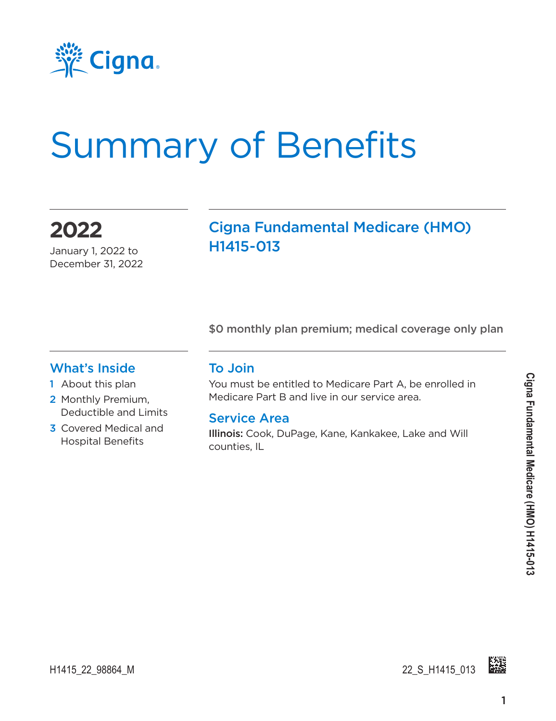

# Summary of Benefits

**2022** January 1, 2022 to

December 31, 2022

#### Cigna Fundamental Medicare (HMO) H1415-013

\$0 monthly plan premium; medical coverage only plan

#### What's Inside

- 1 About this plan
- 2 Monthly Premium, Deductible and Limits
- 3 Covered Medical and Hospital Benefits

#### To Join

You must be entitled to Medicare Part A, be enrolled in Medicare Part B and live in our service area.

#### Service Area

Illinois: Cook, DuPage, Kane, Kankakee, Lake and Will counties, IL

H1415\_22\_98864\_M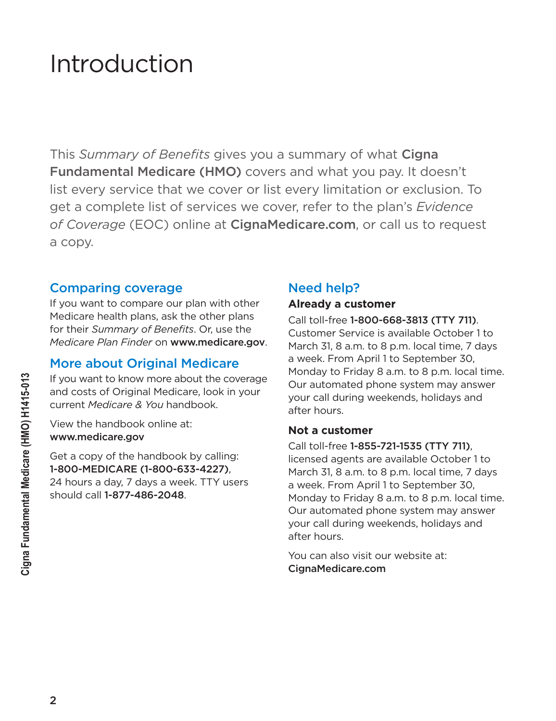### Introduction

This *Summary of Benefits* gives you a summary of what Cigna Fundamental Medicare (HMO) covers and what you pay. It doesn't list every service that we cover or list every limitation or exclusion. To get a complete list of services we cover, refer to the plan's *Evidence of Coverage* (EOC) online at [CignaMedicare.com](www.cignamedicare.com), or call us to request a copy.

#### Comparing coverage

If you want to compare our plan with other Medicare health plans, ask the other plans for their *Summary of Benefits*. Or, use the *Medicare Plan Finder* on www.medicare.gov.

#### More about Original Medicare

If you want to know more about the coverage and costs of Original Medicare, look in your current *Medicare & You* handbook.

View the handbook online at: www.medicare.gov

Get a copy of the handbook by calling: 1-800-MEDICARE (1-800-633-4227), 24 hours a day, 7 days a week. TTY users should call 1-877-486-2048.

#### Need help?

#### **Already a customer**

Call toll-free 1-800-668-3813 (TTY 711). Customer Service is available October 1 to March 31, 8 a.m. to 8 p.m. local time, 7 days a week. From April 1 to September 30, Monday to Friday 8 a.m. to 8 p.m. local time. Our automated phone system may answer your call during weekends, holidays and after hours.

#### **Not a customer**

Call toll-free 1-855-721-1535 (TTY 711), licensed agents are available October 1 to March 31, 8 a.m. to 8 p.m. local time, 7 days a week. From April 1 to September 30, Monday to Friday 8 a.m. to 8 p.m. local time. Our automated phone system may answer your call during weekends, holidays and after hours.

You can also visit our website at: [CignaMedicare.com](www.cignamedicare.com)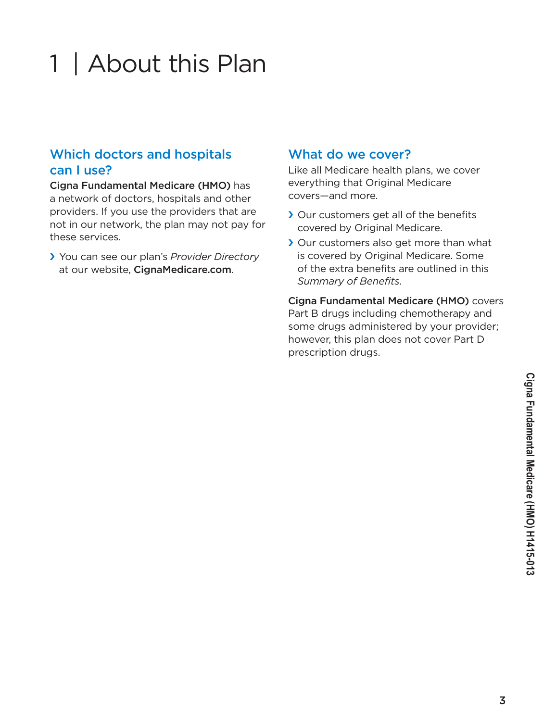# 1 | About this Plan

#### Which doctors and hospitals can I use?

Cigna Fundamental Medicare (HMO) has a network of doctors, hospitals and other providers. If you use the providers that are not in our network, the plan may not pay for these services.

› You can see our plan's *Provider Directory* at our website, [CignaMedicare.com](www.cignamedicare.com).

#### What do we cover?

Like all Medicare health plans, we cover everything that Original Medicare covers—and more.

- › Our customers get all of the benefits covered by Original Medicare.
- › Our customers also get more than what is covered by Original Medicare. Some of the extra benefits are outlined in this *Summary of Benefits*.

Cigna Fundamental Medicare (HMO) covers Part B drugs including chemotherapy and some drugs administered by your provider; however, this plan does not cover Part D prescription drugs.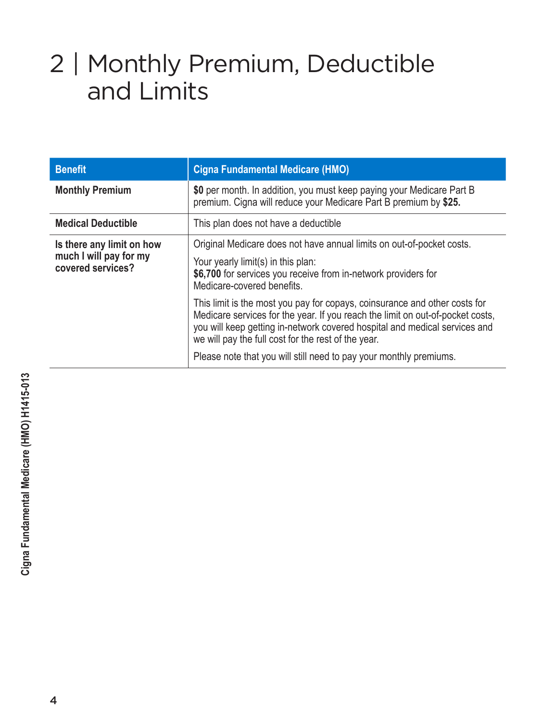# 2 | Monthly Premium, Deductible and Limits

| <b>Benefit</b>                                                           | <b>Cigna Fundamental Medicare (HMO)</b>                                                                                                                                                                                                                                                           |
|--------------------------------------------------------------------------|---------------------------------------------------------------------------------------------------------------------------------------------------------------------------------------------------------------------------------------------------------------------------------------------------|
| <b>Monthly Premium</b>                                                   | \$0 per month. In addition, you must keep paying your Medicare Part B<br>premium. Cigna will reduce your Medicare Part B premium by \$25.                                                                                                                                                         |
| <b>Medical Deductible</b>                                                | This plan does not have a deductible                                                                                                                                                                                                                                                              |
| Is there any limit on how<br>much I will pay for my<br>covered services? | Original Medicare does not have annual limits on out-of-pocket costs.<br>Your yearly limit(s) in this plan:<br>\$6,700 for services you receive from in-network providers for<br>Medicare-covered benefits.                                                                                       |
|                                                                          | This limit is the most you pay for copays, coinsurance and other costs for<br>Medicare services for the year. If you reach the limit on out-of-pocket costs,<br>you will keep getting in-network covered hospital and medical services and<br>we will pay the full cost for the rest of the year. |
|                                                                          | Please note that you will still need to pay your monthly premiums.                                                                                                                                                                                                                                |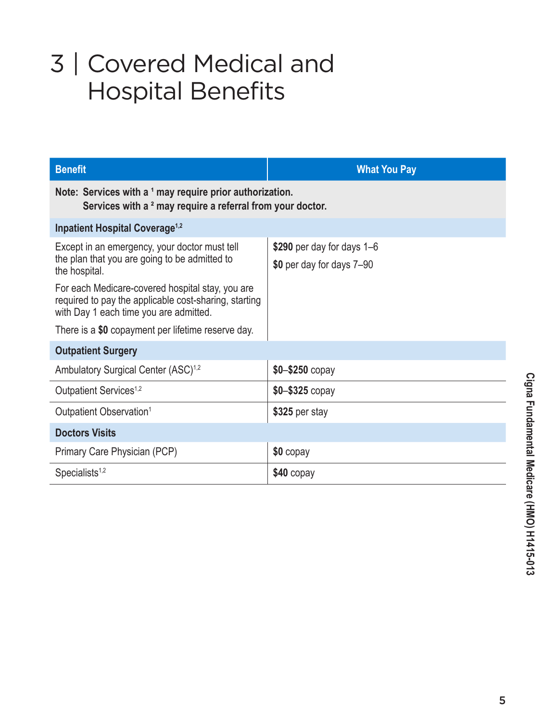# 3 | Covered Medical and Hospital Benefits

| <b>Benefit</b>                                                                                                                                      | <b>What You Pay</b>                                     |  |
|-----------------------------------------------------------------------------------------------------------------------------------------------------|---------------------------------------------------------|--|
| Note: Services with a 1 may require prior authorization.<br>Services with a <sup>2</sup> may require a referral from your doctor.                   |                                                         |  |
| <b>Inpatient Hospital Coverage<sup>1,2</sup></b>                                                                                                    |                                                         |  |
| Except in an emergency, your doctor must tell<br>the plan that you are going to be admitted to<br>the hospital.                                     | \$290 per day for days 1–6<br>\$0 per day for days 7-90 |  |
| For each Medicare-covered hospital stay, you are<br>required to pay the applicable cost-sharing, starting<br>with Day 1 each time you are admitted. |                                                         |  |
| There is a \$0 copayment per lifetime reserve day.                                                                                                  |                                                         |  |
| <b>Outpatient Surgery</b>                                                                                                                           |                                                         |  |
| Ambulatory Surgical Center (ASC) <sup>1,2</sup>                                                                                                     | $$0 - $250$ copay                                       |  |
| Outpatient Services <sup>1,2</sup>                                                                                                                  | $$0 - $325$ copay                                       |  |
| Outpatient Observation <sup>1</sup>                                                                                                                 | \$325 per stay                                          |  |
| <b>Doctors Visits</b>                                                                                                                               |                                                         |  |
| Primary Care Physician (PCP)                                                                                                                        | $$0$ copay                                              |  |
| Specialists <sup>1,2</sup>                                                                                                                          | \$40 copay                                              |  |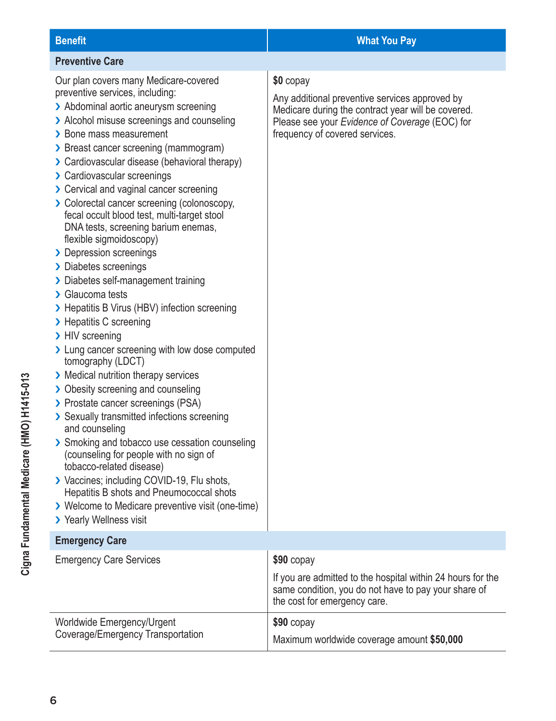#### **Preventive Care** Our plan covers many Medicare-covered preventive services, including: > Abdominal aortic aneurysm screening > Alcohol misuse screenings and counseling › Bone mass measurement › Breast cancer screening (mammogram) › Cardiovascular disease (behavioral therapy) › Cardiovascular screenings › Cervical and vaginal cancer screening › Colorectal cancer screening (colonoscopy, fecal occult blood test, multi-target stool DNA tests, screening barium enemas, flexible sigmoidoscopy) > Depression screenings › Diabetes screenings › Diabetes self-management training › Glaucoma tests › Hepatitis B Virus (HBV) infection screening > Hepatitis C screening > HIV screening > Lung cancer screening with low dose computed tomography (LDCT) › Medical nutrition therapy services › Obesity screening and counseling › Prostate cancer screenings (PSA) › Sexually transmitted infections screening and counseling > Smoking and tobacco use cessation counseling (counseling for people with no sign of tobacco-related disease) › Vaccines; including COVID-19, Flu shots, Hepatitis B shots and Pneumococcal shots › Welcome to Medicare preventive visit (one-time) > Yearly Wellness visit **\$0** copay Any additional preventive services approved by Medicare during the contract year will be covered. Please see your *Evidence of Coverage* (EOC) for frequency of covered services. **Emergency Care** Emergency Care Services **\$90 copay**

|                                   | If you are admitted to the hospital within 24 hours for the<br>same condition, you do not have to pay your share of<br>the cost for emergency care. |
|-----------------------------------|-----------------------------------------------------------------------------------------------------------------------------------------------------|
| Worldwide Emergency/Urgent        | $$90$ copay                                                                                                                                         |
| Coverage/Emergency Transportation | Maximum worldwide coverage amount \$50,000                                                                                                          |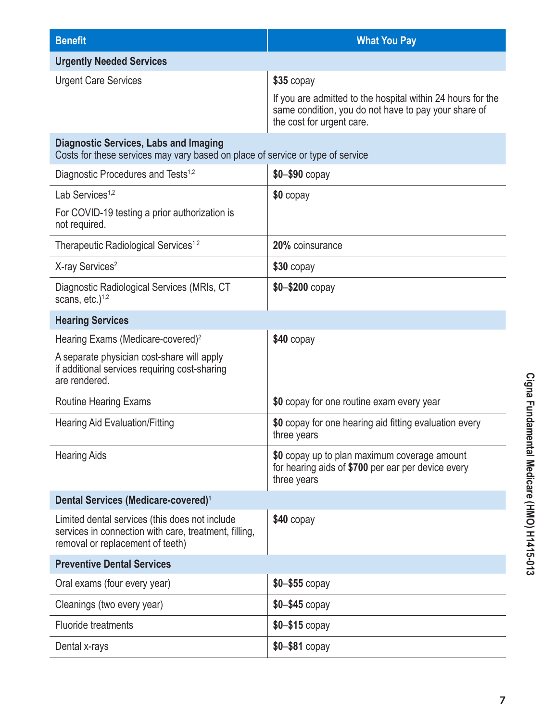| <b>Benefit</b>                                                                                                                              | <b>What You Pay</b>                                                                                                                              |
|---------------------------------------------------------------------------------------------------------------------------------------------|--------------------------------------------------------------------------------------------------------------------------------------------------|
| <b>Urgently Needed Services</b>                                                                                                             |                                                                                                                                                  |
| <b>Urgent Care Services</b>                                                                                                                 | \$35 copay                                                                                                                                       |
|                                                                                                                                             | If you are admitted to the hospital within 24 hours for the<br>same condition, you do not have to pay your share of<br>the cost for urgent care. |
| <b>Diagnostic Services, Labs and Imaging</b><br>Costs for these services may vary based on place of service or type of service              |                                                                                                                                                  |
| Diagnostic Procedures and Tests <sup>1,2</sup>                                                                                              | $$0 - $90$ copay                                                                                                                                 |
| Lab Services <sup>1,2</sup>                                                                                                                 | \$0 copay                                                                                                                                        |
| For COVID-19 testing a prior authorization is<br>not required.                                                                              |                                                                                                                                                  |
| Therapeutic Radiological Services <sup>1,2</sup>                                                                                            | 20% coinsurance                                                                                                                                  |
| X-ray Services <sup>2</sup>                                                                                                                 | \$30 copay                                                                                                                                       |
| Diagnostic Radiological Services (MRIs, CT<br>scans, $etc.$ ) <sup>1,2</sup>                                                                | $$0 - $200$ copay                                                                                                                                |
| <b>Hearing Services</b>                                                                                                                     |                                                                                                                                                  |
| Hearing Exams (Medicare-covered) <sup>2</sup>                                                                                               | $$40$ copay                                                                                                                                      |
| A separate physician cost-share will apply<br>if additional services requiring cost-sharing<br>are rendered.                                |                                                                                                                                                  |
| <b>Routine Hearing Exams</b>                                                                                                                | \$0 copay for one routine exam every year                                                                                                        |
| <b>Hearing Aid Evaluation/Fitting</b>                                                                                                       | \$0 copay for one hearing aid fitting evaluation every<br>three years                                                                            |
| <b>Hearing Aids</b>                                                                                                                         | \$0 copay up to plan maximum coverage amount<br>for hearing aids of \$700 per ear per device every<br>three years                                |
| Dental Services (Medicare-covered) <sup>1</sup>                                                                                             |                                                                                                                                                  |
| Limited dental services (this does not include<br>services in connection with care, treatment, filling,<br>removal or replacement of teeth) | $$40$ copay                                                                                                                                      |
| <b>Preventive Dental Services</b>                                                                                                           |                                                                                                                                                  |
| Oral exams (four every year)                                                                                                                | $$0 - $55$ copay                                                                                                                                 |
| Cleanings (two every year)                                                                                                                  | \$0-\$45 copay                                                                                                                                   |
| <b>Fluoride treatments</b>                                                                                                                  | $$0 - $15$ copay                                                                                                                                 |
| Dental x-rays                                                                                                                               | \$0-\$81 copay                                                                                                                                   |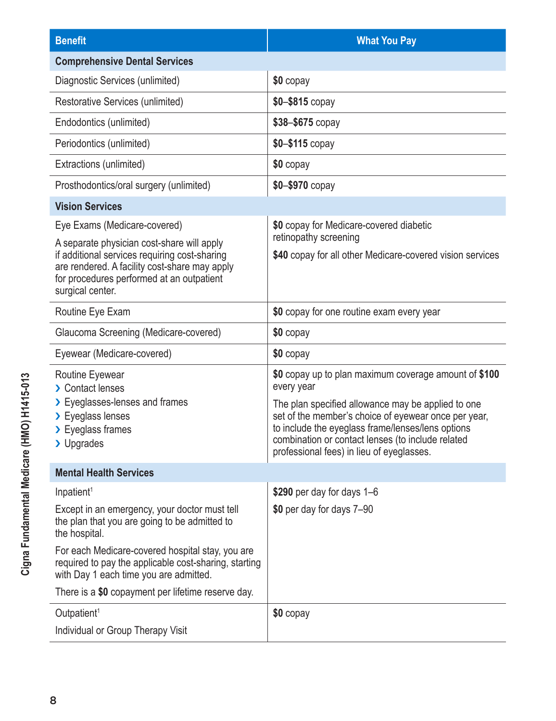| <b>Benefit</b>                                                                                                                                                                                                | <b>What You Pay</b>                                                                                                                                                                                                                                                                                                                      |
|---------------------------------------------------------------------------------------------------------------------------------------------------------------------------------------------------------------|------------------------------------------------------------------------------------------------------------------------------------------------------------------------------------------------------------------------------------------------------------------------------------------------------------------------------------------|
| <b>Comprehensive Dental Services</b>                                                                                                                                                                          |                                                                                                                                                                                                                                                                                                                                          |
| Diagnostic Services (unlimited)                                                                                                                                                                               | \$0 copay                                                                                                                                                                                                                                                                                                                                |
| Restorative Services (unlimited)                                                                                                                                                                              | $$0 - $815$ copay                                                                                                                                                                                                                                                                                                                        |
| Endodontics (unlimited)                                                                                                                                                                                       | \$38-\$675 copay                                                                                                                                                                                                                                                                                                                         |
| Periodontics (unlimited)                                                                                                                                                                                      | $$0 - $115$ copay                                                                                                                                                                                                                                                                                                                        |
| Extractions (unlimited)                                                                                                                                                                                       | \$0 copay                                                                                                                                                                                                                                                                                                                                |
| Prosthodontics/oral surgery (unlimited)                                                                                                                                                                       | $$0 - $970$ copay                                                                                                                                                                                                                                                                                                                        |
| <b>Vision Services</b>                                                                                                                                                                                        |                                                                                                                                                                                                                                                                                                                                          |
| Eye Exams (Medicare-covered)                                                                                                                                                                                  | \$0 copay for Medicare-covered diabetic                                                                                                                                                                                                                                                                                                  |
| A separate physician cost-share will apply<br>if additional services requiring cost-sharing<br>are rendered. A facility cost-share may apply<br>for procedures performed at an outpatient<br>surgical center. | retinopathy screening<br>\$40 copay for all other Medicare-covered vision services                                                                                                                                                                                                                                                       |
| Routine Eye Exam                                                                                                                                                                                              | \$0 copay for one routine exam every year                                                                                                                                                                                                                                                                                                |
| Glaucoma Screening (Medicare-covered)                                                                                                                                                                         | \$0 copay                                                                                                                                                                                                                                                                                                                                |
| Eyewear (Medicare-covered)                                                                                                                                                                                    | \$0 copay                                                                                                                                                                                                                                                                                                                                |
| Routine Eyewear<br>> Contact lenses<br>> Eyeglasses-lenses and frames<br>> Eyeglass lenses<br>> Eyeglass frames<br>> Upgrades                                                                                 | \$0 copay up to plan maximum coverage amount of \$100<br>every year<br>The plan specified allowance may be applied to one<br>set of the member's choice of eyewear once per year,<br>to include the eyeglass frame/lenses/lens options<br>combination or contact lenses (to include related<br>professional fees) in lieu of eyeglasses. |
| <b>Mental Health Services</b>                                                                                                                                                                                 |                                                                                                                                                                                                                                                                                                                                          |
| Inpatient <sup>1</sup>                                                                                                                                                                                        | \$290 per day for days 1-6                                                                                                                                                                                                                                                                                                               |
| Except in an emergency, your doctor must tell<br>the plan that you are going to be admitted to<br>the hospital.                                                                                               | \$0 per day for days 7-90                                                                                                                                                                                                                                                                                                                |
| For each Medicare-covered hospital stay, you are<br>required to pay the applicable cost-sharing, starting<br>with Day 1 each time you are admitted.                                                           |                                                                                                                                                                                                                                                                                                                                          |
| There is a \$0 copayment per lifetime reserve day.                                                                                                                                                            |                                                                                                                                                                                                                                                                                                                                          |
| Outpatient <sup>1</sup><br>Individual or Group Therapy Visit                                                                                                                                                  | \$0 copay                                                                                                                                                                                                                                                                                                                                |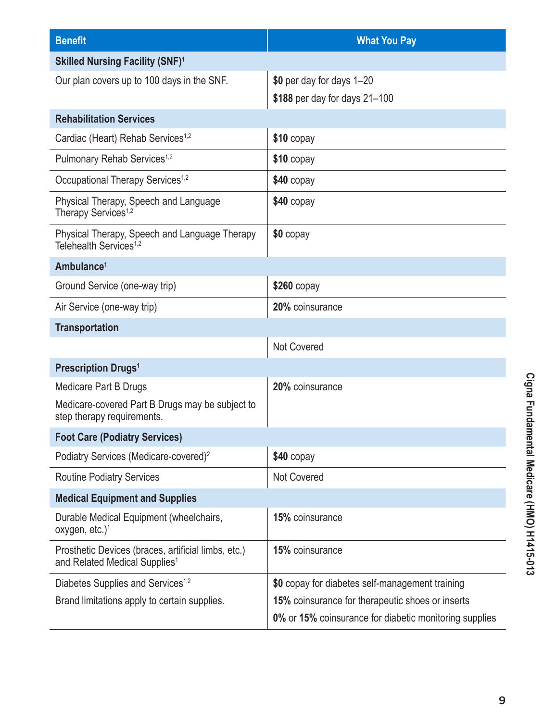| <b>Benefit</b>                                                                                   | <b>What You Pay</b>                                        |
|--------------------------------------------------------------------------------------------------|------------------------------------------------------------|
| <b>Skilled Nursing Facility (SNF)1</b>                                                           |                                                            |
| Our plan covers up to 100 days in the SNF.                                                       | \$0 per day for days 1-20<br>\$188 per day for days 21-100 |
| <b>Rehabilitation Services</b>                                                                   |                                                            |
| Cardiac (Heart) Rehab Services <sup>1,2</sup>                                                    | $$10$ copay                                                |
| Pulmonary Rehab Services <sup>1,2</sup>                                                          | \$10 copay                                                 |
| Occupational Therapy Services <sup>1,2</sup>                                                     | \$40 copay                                                 |
| Physical Therapy, Speech and Language<br>Therapy Services <sup>1,2</sup>                         | $$40$ copay                                                |
| Physical Therapy, Speech and Language Therapy<br>Telehealth Services <sup>1,2</sup>              | \$0 copay                                                  |
| Ambulance <sup>1</sup>                                                                           |                                                            |
| Ground Service (one-way trip)                                                                    | $$260$ copay                                               |
| Air Service (one-way trip)                                                                       | 20% coinsurance                                            |
| <b>Transportation</b>                                                                            |                                                            |
|                                                                                                  | <b>Not Covered</b>                                         |
| <b>Prescription Drugs<sup>1</sup></b>                                                            |                                                            |
| Medicare Part B Drugs                                                                            | 20% coinsurance                                            |
| Medicare-covered Part B Drugs may be subject to<br>step therapy requirements.                    |                                                            |
| <b>Foot Care (Podiatry Services)</b>                                                             |                                                            |
| Podiatry Services (Medicare-covered) <sup>2</sup>                                                | $$40$ copay                                                |
| <b>Routine Podiatry Services</b>                                                                 | <b>Not Covered</b>                                         |
| <b>Medical Equipment and Supplies</b>                                                            |                                                            |
| Durable Medical Equipment (wheelchairs,<br>oxygen, etc.) <sup>1</sup>                            | 15% coinsurance                                            |
| Prosthetic Devices (braces, artificial limbs, etc.)<br>and Related Medical Supplies <sup>1</sup> | 15% coinsurance                                            |
| Diabetes Supplies and Services <sup>1,2</sup>                                                    | \$0 copay for diabetes self-management training            |
| Brand limitations apply to certain supplies.                                                     | 15% coinsurance for therapeutic shoes or inserts           |
|                                                                                                  | 0% or 15% coinsurance for diabetic monitoring supplies     |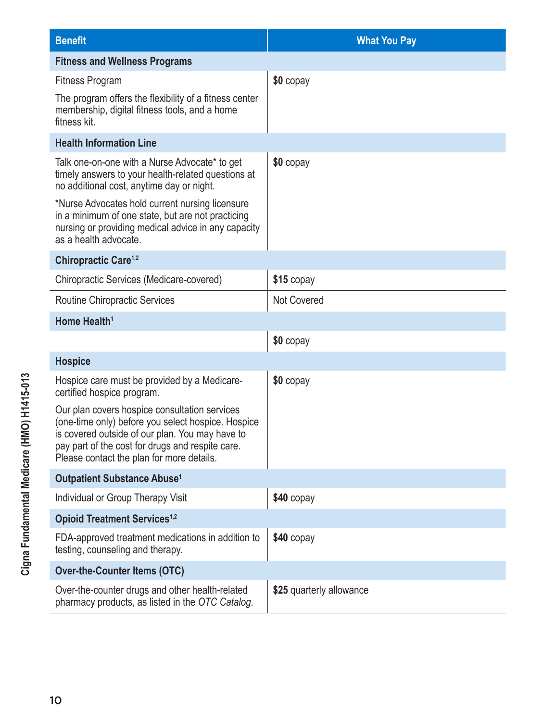| <b>Benefit</b>                                                                                                                                                                                                                                                                                                  | <b>What You Pay</b>      |  |
|-----------------------------------------------------------------------------------------------------------------------------------------------------------------------------------------------------------------------------------------------------------------------------------------------------------------|--------------------------|--|
| <b>Fitness and Wellness Programs</b>                                                                                                                                                                                                                                                                            |                          |  |
| <b>Fitness Program</b>                                                                                                                                                                                                                                                                                          | \$0 copay                |  |
| The program offers the flexibility of a fitness center<br>membership, digital fitness tools, and a home<br>fitness kit.                                                                                                                                                                                         |                          |  |
| <b>Health Information Line</b>                                                                                                                                                                                                                                                                                  |                          |  |
| Talk one-on-one with a Nurse Advocate* to get<br>timely answers to your health-related questions at<br>no additional cost, anytime day or night.<br>*Nurse Advocates hold current nursing licensure<br>in a minimum of one state, but are not practicing<br>nursing or providing medical advice in any capacity | \$0 copay                |  |
| as a health advocate.                                                                                                                                                                                                                                                                                           |                          |  |
| Chiropractic Care <sup>1,2</sup>                                                                                                                                                                                                                                                                                |                          |  |
| Chiropractic Services (Medicare-covered)                                                                                                                                                                                                                                                                        | \$15 copay               |  |
| Routine Chiropractic Services                                                                                                                                                                                                                                                                                   | <b>Not Covered</b>       |  |
| Home Health <sup>1</sup>                                                                                                                                                                                                                                                                                        |                          |  |
|                                                                                                                                                                                                                                                                                                                 | \$0 copay                |  |
| <b>Hospice</b>                                                                                                                                                                                                                                                                                                  |                          |  |
| Hospice care must be provided by a Medicare-<br>certified hospice program.                                                                                                                                                                                                                                      | \$0 copay                |  |
| Our plan covers hospice consultation services<br>(one-time only) before you select hospice. Hospice<br>is covered outside of our plan. You may have to<br>pay part of the cost for drugs and respite care.<br>Please contact the plan for more details.                                                         |                          |  |
| <b>Outpatient Substance Abuse<sup>1</sup></b>                                                                                                                                                                                                                                                                   |                          |  |
| Individual or Group Therapy Visit                                                                                                                                                                                                                                                                               | $$40$ copay              |  |
| <b>Opioid Treatment Services<sup>1,2</sup></b>                                                                                                                                                                                                                                                                  |                          |  |
| FDA-approved treatment medications in addition to<br>testing, counseling and therapy.                                                                                                                                                                                                                           | $$40$ copay              |  |
| <b>Over-the-Counter Items (OTC)</b>                                                                                                                                                                                                                                                                             |                          |  |
| Over-the-counter drugs and other health-related<br>pharmacy products, as listed in the OTC Catalog.                                                                                                                                                                                                             | \$25 quarterly allowance |  |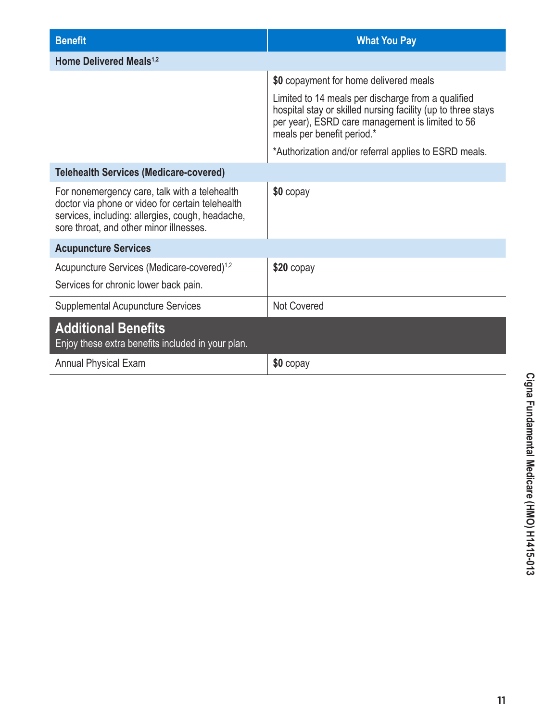| <b>Benefit</b>                                                                                                                                                                                   | <b>What You Pay</b>                                                                                                                                                                                  |  |
|--------------------------------------------------------------------------------------------------------------------------------------------------------------------------------------------------|------------------------------------------------------------------------------------------------------------------------------------------------------------------------------------------------------|--|
| Home Delivered Meals <sup>1,2</sup>                                                                                                                                                              |                                                                                                                                                                                                      |  |
|                                                                                                                                                                                                  | \$0 copayment for home delivered meals                                                                                                                                                               |  |
|                                                                                                                                                                                                  | Limited to 14 meals per discharge from a qualified<br>hospital stay or skilled nursing facility (up to three stays<br>per year), ESRD care management is limited to 56<br>meals per benefit period.* |  |
|                                                                                                                                                                                                  | *Authorization and/or referral applies to ESRD meals.                                                                                                                                                |  |
| <b>Telehealth Services (Medicare-covered)</b>                                                                                                                                                    |                                                                                                                                                                                                      |  |
| For nonemergency care, talk with a telehealth<br>doctor via phone or video for certain telehealth<br>services, including: allergies, cough, headache,<br>sore throat, and other minor illnesses. | \$0 copay                                                                                                                                                                                            |  |
| <b>Acupuncture Services</b>                                                                                                                                                                      |                                                                                                                                                                                                      |  |
| Acupuncture Services (Medicare-covered) <sup>1,2</sup><br>Services for chronic lower back pain.                                                                                                  | $$20$ copay                                                                                                                                                                                          |  |
| <b>Supplemental Acupuncture Services</b>                                                                                                                                                         | <b>Not Covered</b>                                                                                                                                                                                   |  |
| <b>Additional Benefits</b><br>Enjoy these extra benefits included in your plan.                                                                                                                  |                                                                                                                                                                                                      |  |
| <b>Annual Physical Exam</b>                                                                                                                                                                      | \$0 copay                                                                                                                                                                                            |  |